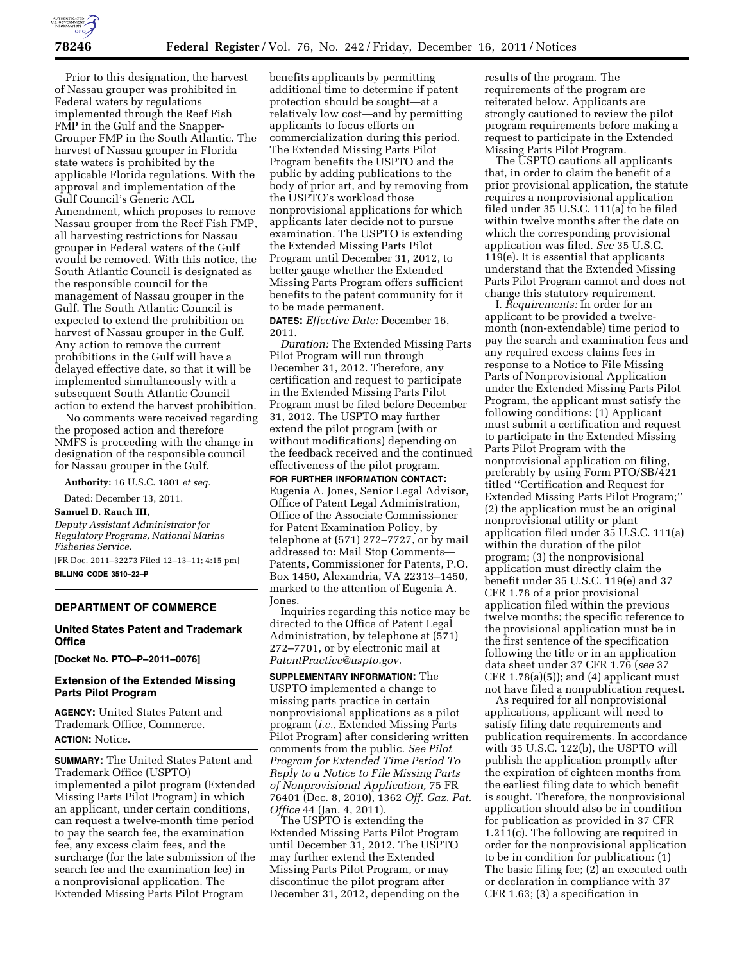

Prior to this designation, the harvest of Nassau grouper was prohibited in Federal waters by regulations implemented through the Reef Fish FMP in the Gulf and the Snapper-Grouper FMP in the South Atlantic. The harvest of Nassau grouper in Florida state waters is prohibited by the applicable Florida regulations. With the approval and implementation of the Gulf Council's Generic ACL Amendment, which proposes to remove Nassau grouper from the Reef Fish FMP, all harvesting restrictions for Nassau grouper in Federal waters of the Gulf would be removed. With this notice, the South Atlantic Council is designated as the responsible council for the management of Nassau grouper in the Gulf. The South Atlantic Council is expected to extend the prohibition on harvest of Nassau grouper in the Gulf. Any action to remove the current prohibitions in the Gulf will have a delayed effective date, so that it will be implemented simultaneously with a subsequent South Atlantic Council action to extend the harvest prohibition.

No comments were received regarding the proposed action and therefore NMFS is proceeding with the change in designation of the responsible council for Nassau grouper in the Gulf.

**Authority:** 16 U.S.C. 1801 *et seq.* 

Dated: December 13, 2011.

**Samuel D. Rauch III,** 

*Deputy Assistant Administrator for Regulatory Programs, National Marine Fisheries Service.* 

[FR Doc. 2011–32273 Filed 12–13–11; 4:15 pm] **BILLING CODE 3510–22–P** 

## **DEPARTMENT OF COMMERCE**

## **United States Patent and Trademark Office**

**[Docket No. PTO–P–2011–0076]** 

## **Extension of the Extended Missing Parts Pilot Program**

**AGENCY:** United States Patent and Trademark Office, Commerce. **ACTION:** Notice.

**SUMMARY:** The United States Patent and Trademark Office (USPTO) implemented a pilot program (Extended Missing Parts Pilot Program) in which an applicant, under certain conditions, can request a twelve-month time period to pay the search fee, the examination fee, any excess claim fees, and the surcharge (for the late submission of the search fee and the examination fee) in a nonprovisional application. The Extended Missing Parts Pilot Program

benefits applicants by permitting additional time to determine if patent protection should be sought—at a relatively low cost—and by permitting applicants to focus efforts on commercialization during this period. The Extended Missing Parts Pilot Program benefits the USPTO and the public by adding publications to the body of prior art, and by removing from the USPTO's workload those nonprovisional applications for which applicants later decide not to pursue examination. The USPTO is extending the Extended Missing Parts Pilot Program until December 31, 2012, to better gauge whether the Extended Missing Parts Program offers sufficient benefits to the patent community for it to be made permanent.

**DATES:** *Effective Date:* December 16, 2011.

*Duration:* The Extended Missing Parts Pilot Program will run through December 31, 2012. Therefore, any certification and request to participate in the Extended Missing Parts Pilot Program must be filed before December 31, 2012. The USPTO may further extend the pilot program (with or without modifications) depending on the feedback received and the continued effectiveness of the pilot program.

**FOR FURTHER INFORMATION CONTACT:**  Eugenia A. Jones, Senior Legal Advisor, Office of Patent Legal Administration, Office of the Associate Commissioner for Patent Examination Policy, by telephone at (571) 272–7727, or by mail addressed to: Mail Stop Comments— Patents, Commissioner for Patents, P.O. Box 1450, Alexandria, VA 22313–1450, marked to the attention of Eugenia A. Jones.

Inquiries regarding this notice may be directed to the Office of Patent Legal Administration, by telephone at (571) 272–7701, or by electronic mail at *[PatentPractice@uspto.gov.](mailto:PatentPractice@uspto.gov)* 

**SUPPLEMENTARY INFORMATION:** The USPTO implemented a change to missing parts practice in certain nonprovisional applications as a pilot program (*i.e.,* Extended Missing Parts Pilot Program) after considering written comments from the public. *See Pilot Program for Extended Time Period To Reply to a Notice to File Missing Parts of Nonprovisional Application,* 75 FR 76401 (Dec. 8, 2010), 1362 *Off. Gaz. Pat. Office* 44 (Jan. 4, 2011).

The USPTO is extending the Extended Missing Parts Pilot Program until December 31, 2012. The USPTO may further extend the Extended Missing Parts Pilot Program, or may discontinue the pilot program after December 31, 2012, depending on the results of the program. The requirements of the program are reiterated below. Applicants are strongly cautioned to review the pilot program requirements before making a request to participate in the Extended Missing Parts Pilot Program.

The USPTO cautions all applicants that, in order to claim the benefit of a prior provisional application, the statute requires a nonprovisional application filed under 35 U.S.C. 111(a) to be filed within twelve months after the date on which the corresponding provisional application was filed. *See* 35 U.S.C. 119(e). It is essential that applicants understand that the Extended Missing Parts Pilot Program cannot and does not change this statutory requirement.

I. *Requirements:* In order for an applicant to be provided a twelvemonth (non-extendable) time period to pay the search and examination fees and any required excess claims fees in response to a Notice to File Missing Parts of Nonprovisional Application under the Extended Missing Parts Pilot Program, the applicant must satisfy the following conditions: (1) Applicant must submit a certification and request to participate in the Extended Missing Parts Pilot Program with the nonprovisional application on filing, preferably by using Form PTO/SB/421 titled ''Certification and Request for Extended Missing Parts Pilot Program;'' (2) the application must be an original nonprovisional utility or plant application filed under 35 U.S.C. 111(a) within the duration of the pilot program; (3) the nonprovisional application must directly claim the benefit under 35 U.S.C. 119(e) and 37 CFR 1.78 of a prior provisional application filed within the previous twelve months; the specific reference to the provisional application must be in the first sentence of the specification following the title or in an application data sheet under 37 CFR 1.76 (*see* 37 CFR  $1.78(a)(5)$ ; and  $(4)$  applicant must not have filed a nonpublication request.

As required for all nonprovisional applications, applicant will need to satisfy filing date requirements and publication requirements. In accordance with 35 U.S.C. 122(b), the USPTO will publish the application promptly after the expiration of eighteen months from the earliest filing date to which benefit is sought. Therefore, the nonprovisional application should also be in condition for publication as provided in 37 CFR 1.211(c). The following are required in order for the nonprovisional application to be in condition for publication: (1) The basic filing fee; (2) an executed oath or declaration in compliance with 37 CFR 1.63; (3) a specification in